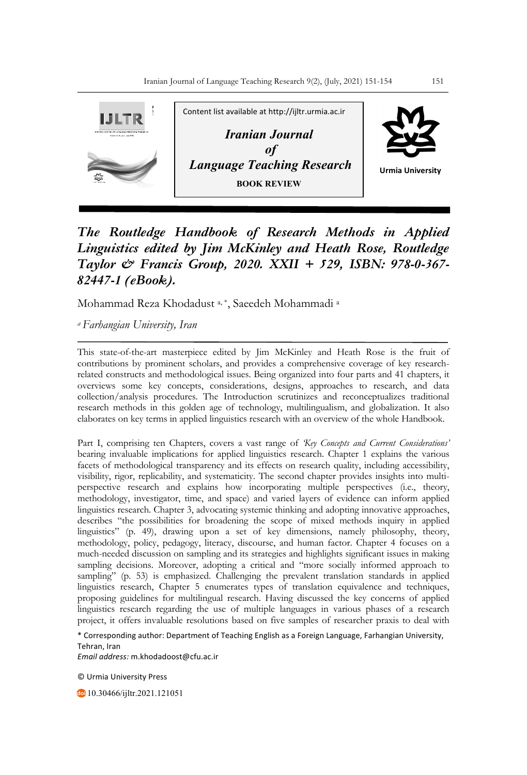

## *The Routledge Handbook of Research Methods in Applied Linguistics edited by Jim McKinley and Heath Rose, Routledge Taylor & Francis Group, 2020. XXII + 529, ISBN: 978-0-367- 82447-1 (eBook).*

Mohammad Reza Khodadust a, \*, Saeedeh Mohammadi a

*a Farhangian University, Iran*

This state-of-the-art masterpiece edited by Jim McKinley and Heath Rose is the fruit of contributions by prominent scholars, and provides a comprehensive coverage of key researchrelated constructs and methodological issues. Being organized into four parts and 41 chapters, it overviews some key concepts, considerations, designs, approaches to research, and data collection/analysis procedures. The Introduction scrutinizes and reconceptualizes traditional research methods in this golden age of technology, multilingualism, and globalization. It also elaborates on key terms in applied linguistics research with an overview of the whole Handbook.

Part I, comprising ten Chapters, covers a vast range of *'Key Concepts and Current Considerations'* bearing invaluable implications for applied linguistics research. Chapter 1 explains the various facets of methodological transparency and its effects on research quality, including accessibility, visibility, rigor, replicability, and systematicity. The second chapter provides insights into multiperspective research and explains how incorporating multiple perspectives (i.e., theory, methodology, investigator, time, and space) and varied layers of evidence can inform applied linguistics research. Chapter 3, advocating systemic thinking and adopting innovative approaches, describes "the possibilities for broadening the scope of mixed methods inquiry in applied linguistics" (p. 49), drawing upon a set of key dimensions, namely philosophy, theory, methodology, policy, pedagogy, literacy, discourse, and human factor. Chapter 4 focuses on a much-needed discussion on sampling and its strategies and highlights significant issues in making sampling decisions. Moreover, adopting a critical and "more socially informed approach to sampling" (p. 53) is emphasized. Challenging the prevalent translation standards in applied linguistics research, Chapter 5 enumerates types of translation equivalence and techniques, proposing guidelines for multilingual research. Having discussed the key concerns of applied linguistics research regarding the use of multiple languages in various phases of a research project, it offers invaluable resolutions based on five samples of researcher praxis to deal with

\* Corresponding author: Department of Teaching English as a Foreign Language, Farhangian University, Tehran, Iran

*Email address:* m.khodadoost@cfu.ac.ir

© Urmia University Press

10.30466/ijltr.2021.121051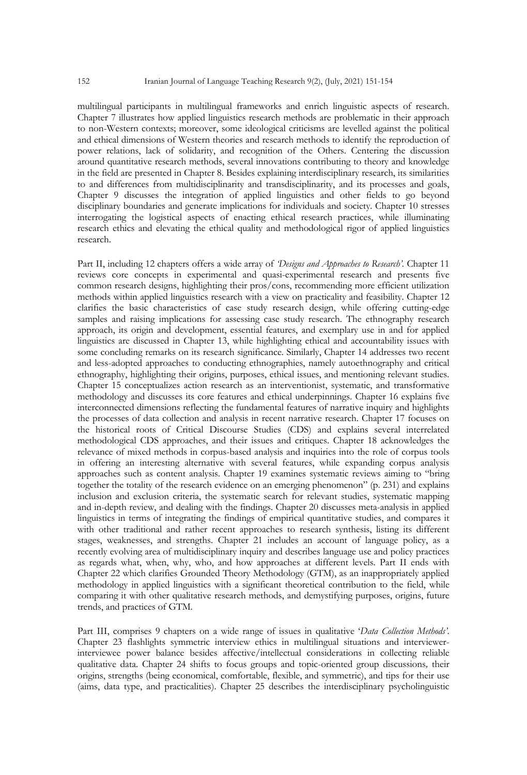multilingual participants in multilingual frameworks and enrich linguistic aspects of research. Chapter 7 illustrates how applied linguistics research methods are problematic in their approach to non-Western contexts; moreover, some ideological criticisms are levelled against the political and ethical dimensions of Western theories and research methods to identify the reproduction of power relations, lack of solidarity, and recognition of the Others. Centering the discussion around quantitative research methods, several innovations contributing to theory and knowledge in the field are presented in Chapter 8. Besides explaining interdisciplinary research, its similarities to and differences from multidisciplinarity and transdisciplinarity, and its processes and goals, Chapter 9 discusses the integration of applied linguistics and other fields to go beyond disciplinary boundaries and generate implications for individuals and society. Chapter 10 stresses interrogating the logistical aspects of enacting ethical research practices, while illuminating research ethics and elevating the ethical quality and methodological rigor of applied linguistics research.

Part II, including 12 chapters offers a wide array of *'Designs and Approaches to Research'.* Chapter 11 reviews core concepts in experimental and quasi-experimental research and presents five common research designs, highlighting their pros/cons, recommending more efficient utilization methods within applied linguistics research with a view on practicality and feasibility. Chapter 12 clarifies the basic characteristics of case study research design, while offering cutting-edge samples and raising implications for assessing case study research. The ethnography research approach, its origin and development, essential features, and exemplary use in and for applied linguistics are discussed in Chapter 13, while highlighting ethical and accountability issues with some concluding remarks on its research significance. Similarly, Chapter 14 addresses two recent and less-adopted approaches to conducting ethnographies, namely autoethnography and critical ethnography, highlighting their origins, purposes, ethical issues, and mentioning relevant studies. Chapter 15 conceptualizes action research as an interventionist, systematic, and transformative methodology and discusses its core features and ethical underpinnings. Chapter 16 explains five interconnected dimensions reflecting the fundamental features of narrative inquiry and highlights the processes of data collection and analysis in recent narrative research. Chapter 17 focuses on the historical roots of Critical Discourse Studies (CDS) and explains several interrelated methodological CDS approaches, and their issues and critiques. Chapter 18 acknowledges the relevance of mixed methods in corpus-based analysis and inquiries into the role of corpus tools in offering an interesting alternative with several features, while expanding corpus analysis approaches such as content analysis. Chapter 19 examines systematic reviews aiming to "bring together the totality of the research evidence on an emerging phenomenon" (p. 231) and explains inclusion and exclusion criteria, the systematic search for relevant studies, systematic mapping and in-depth review, and dealing with the findings. Chapter 20 discusses meta-analysis in applied linguistics in terms of integrating the findings of empirical quantitative studies, and compares it with other traditional and rather recent approaches to research synthesis, listing its different stages, weaknesses, and strengths. Chapter 21 includes an account of language policy, as a recently evolving area of multidisciplinary inquiry and describes language use and policy practices as regards what, when, why, who, and how approaches at different levels. Part II ends with Chapter 22 which clarifies Grounded Theory Methodology (GTM), as an inappropriately applied methodology in applied linguistics with a significant theoretical contribution to the field, while comparing it with other qualitative research methods, and demystifying purposes, origins, future trends, and practices of GTM.

Part III, comprises 9 chapters on a wide range of issues in qualitative '*Data Collection Methods'*. Chapter 23 flashlights symmetric interview ethics in multilingual situations and interviewerinterviewee power balance besides affective/intellectual considerations in collecting reliable qualitative data. Chapter 24 shifts to focus groups and topic-oriented group discussions*,* their origins, strengths (being economical, comfortable, flexible, and symmetric), and tips for their use (aims, data type, and practicalities). Chapter 25 describes the interdisciplinary psycholinguistic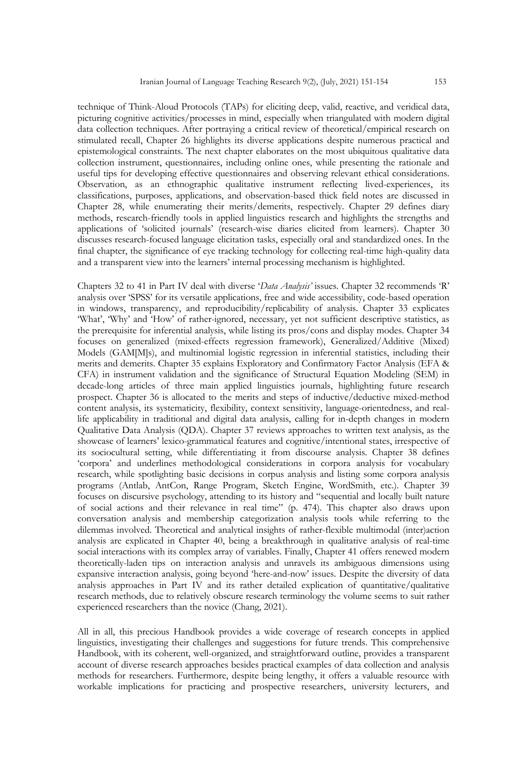technique of Think-Aloud Protocols (TAPs) for eliciting deep, valid, reactive, and veridical data, picturing cognitive activities/processes in mind, especially when triangulated with modern digital data collection techniques. After portraying a critical review of theoretical/empirical research on stimulated recall, Chapter 26 highlights its diverse applications despite numerous practical and epistemological constraints. The next chapter elaborates on the most ubiquitous qualitative data collection instrument, questionnaires, including online ones, while presenting the rationale and useful tips for developing effective questionnaires and observing relevant ethical considerations. Observation, as an ethnographic qualitative instrument reflecting lived-experiences, its classifications, purposes, applications, and observation-based thick field notes are discussed in Chapter 28, while enumerating their merits/demerits, respectively. Chapter 29 defines diary methods, research-friendly tools in applied linguistics research and highlights the strengths and applications of 'solicited journals' (research-wise diaries elicited from learners). Chapter 30 discusses research-focused language elicitation tasks, especially oral and standardized ones. In the final chapter, the significance of eye tracking technology for collecting real-time high-quality data and a transparent view into the learners' internal processing mechanism is highlighted.

Chapters 32 to 41 in Part IV deal with diverse '*Data Analysis'* issues. Chapter 32 recommends 'R' analysis over 'SPSS' for its versatile applications, free and wide accessibility, code-based operation in windows, transparency, and reproducibility/replicability of analysis. Chapter 33 explicates 'What', 'Why' and 'How' of rather-ignored, necessary, yet not sufficient descriptive statistics, as the prerequisite for inferential analysis, while listing its pros/cons and display modes. Chapter 34 focuses on generalized (mixed-effects regression framework), Generalized/Additive (Mixed) Models (GAM[M]s), and multinomial logistic regression in inferential statistics, including their merits and demerits. Chapter 35 explains Exploratory and Confirmatory Factor Analysis (EFA & CFA) in instrument validation and the significance of Structural Equation Modeling (SEM) in decade-long articles of three main applied linguistics journals, highlighting future research prospect. Chapter 36 is allocated to the merits and steps of inductive/deductive mixed-method content analysis, its systematicity, flexibility, context sensitivity, language-orientedness, and reallife applicability in traditional and digital data analysis, calling for in-depth changes in modern Qualitative Data Analysis (QDA). Chapter 37 reviews approaches to written text analysis, as the showcase of learners' lexico-grammatical features and cognitive/intentional states, irrespective of its sociocultural setting, while differentiating it from discourse analysis. Chapter 38 defines 'corpora' and underlines methodological considerations in corpora analysis for vocabulary research, while spotlighting basic decisions in corpus analysis and listing some corpora analysis programs (Antlab, AntCon, Range Program, Sketch Engine, WordSmith, etc.). Chapter 39 focuses on discursive psychology, attending to its history and "sequential and locally built nature of social actions and their relevance in real time" (p. 474). This chapter also draws upon conversation analysis and membership categorization analysis tools while referring to the dilemmas involved. Theoretical and analytical insights of rather-flexible multimodal (inter)action analysis are explicated in Chapter 40, being a breakthrough in qualitative analysis of real-time social interactions with its complex array of variables. Finally, Chapter 41 offers renewed modern theoretically-laden tips on interaction analysis and unravels its ambiguous dimensions using expansive interaction analysis, going beyond 'here-and-now' issues. Despite the diversity of data analysis approaches in Part IV and its rather detailed explication of quantitative/qualitative research methods, due to relatively obscure research terminology the volume seems to suit rather experienced researchers than the novice (Chang, 2021).

All in all, this precious Handbook provides a wide coverage of research concepts in applied linguistics, investigating their challenges and suggestions for future trends. This comprehensive Handbook, with its coherent, well-organized, and straightforward outline, provides a transparent account of diverse research approaches besides practical examples of data collection and analysis methods for researchers. Furthermore, despite being lengthy, it offers a valuable resource with workable implications for practicing and prospective researchers, university lecturers, and